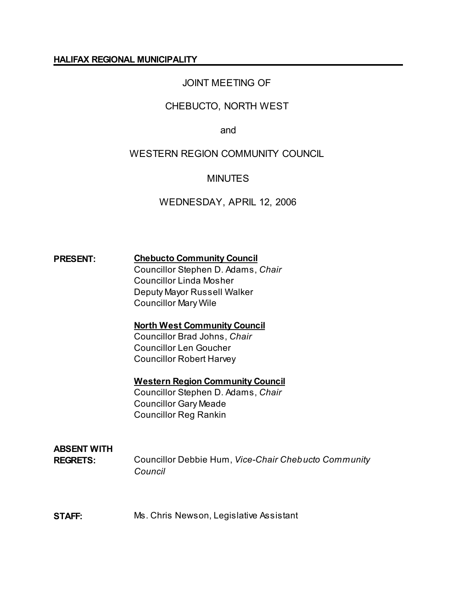#### **HALIFAX REGIONAL MUNICIPALITY**

# JOINT MEETING OF

## CHEBUCTO, NORTH WEST

and

## WESTERN REGION COMMUNITY COUNCIL

## **MINUTES**

## WEDNESDAY, APRIL 12, 2006

## **PRESENT: Chebucto Community Council**

Councillor Stephen D. Adams, *Chair* Councillor Linda Mosher Deputy Mayor Russell Walker Councillor Mary Wile

#### **North West Community Council**

Councillor Brad Johns, *Chair* Councillor Len Goucher Councillor Robert Harvey

#### **Western Region Community Council**

Councillor Stephen D. Adams, *Chair* Councillor Gary Meade Councillor Reg Rankin

# **ABSENT WITH**

**REGRETS:** Councillor Debbie Hum, *Vice-Chair Chebucto Community Council*

#### **STAFF:** Ms. Chris Newson, Legislative Assistant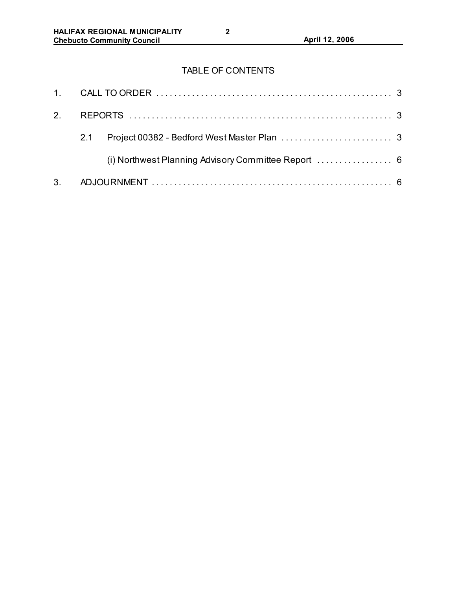# TABLE OF CONTENTS

| 2.             |     |  |
|----------------|-----|--|
|                | 2.1 |  |
|                |     |  |
| 3 <sub>1</sub> |     |  |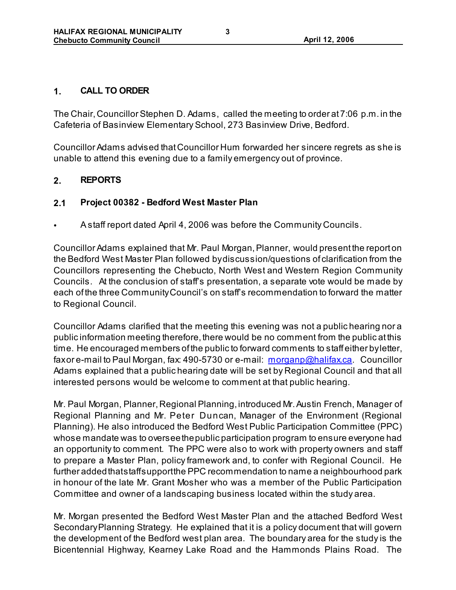#### **1. CALL TO ORDER**

The Chair, Councillor Stephen D. Adams, called the meeting to order at 7:06 p.m. in the Cafeteria of Basinview Elementary School, 273 Basinview Drive, Bedford.

Councillor Adams advised that Councillor Hum forwarded her sincere regrets as she is unable to attend this evening due to a family emergency out of province.

## **2. REPORTS**

## **2.1 Project 00382 - Bedford West Master Plan**

• A staff report dated April 4, 2006 was before the Community Councils.

Councillor Adams explained that Mr. Paul Morgan, Planner, would present the report on the Bedford West Master Plan followed by discussion/questions of clarification from the Councillors representing the Chebucto, North West and Western Region Community Councils. At the conclusion of staff's presentation, a separate vote would be made by each of the three Community Council's on staff's recommendation to forward the matter to Regional Council.

Councillor Adams clarified that the meeting this evening was not a public hearing nor a public information meeting therefore, there would be no comment from the public at this time. He encouraged members of the public to forward comments to staff either by letter, fax or e-mail to Paul Morgan, fax: 490-5730 or e-mail: morganp@halifax.ca. Councillor Adams explained that a public hearing date will be set by Regional Council and that all interested persons would be welcome to comment at that public hearing.

Mr. Paul Morgan, Planner, Regional Planning, introduced Mr. Austin French, Manager of Regional Planning and Mr. Peter Duncan, Manager of the Environment (Regional Planning). He also introduced the Bedford West Public Participation Committee (PPC) whose mandate was to oversee the public participation program to ensure everyone had an opportunity to comment. The PPC were also to work with property owners and staff to prepare a Master Plan, policy framework and, to confer with Regional Council. He further added that staff support the PPC recommendation to name a neighbourhood park in honour of the late Mr. Grant Mosher who was a member of the Public Participation Committee and owner of a landscaping business located within the study area.

Mr. Morgan presented the Bedford West Master Plan and the attached Bedford West Secondary Planning Strategy. He explained that it is a policy document that will govern the development of the Bedford west plan area. The boundary area for the study is the Bicentennial Highway, Kearney Lake Road and the Hammonds Plains Road. The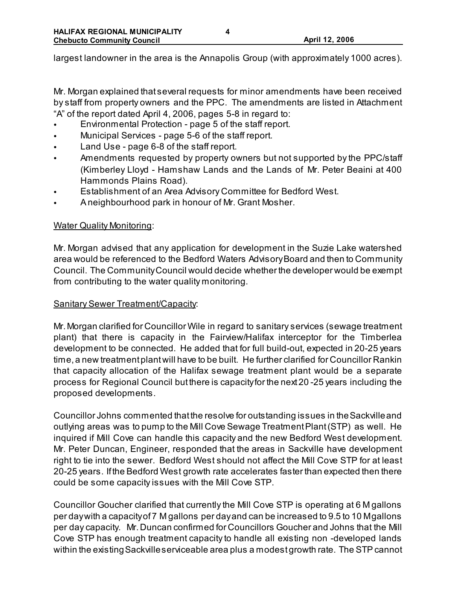largest landowner in the area is the Annapolis Group (with approximately 1000 acres).

Mr. Morgan explained that several requests for minor amendments have been received by staff from property owners and the PPC. The amendments are listed in Attachment "A" of the report dated April 4, 2006, pages 5-8 in regard to:

- Environmental Protection page 5 of the staff report.
- Municipal Services page 5-6 of the staff report.
- Land Use page 6-8 of the staff report.
- Amendments requested by property owners but not supported by the PPC/staff (Kimberley Lloyd - Hamshaw Lands and the Lands of Mr. Peter Beaini at 400 Hammonds Plains Road).
- Establishment of an Area Advisory Committee for Bedford West.
- A neighbourhood park in honour of Mr. Grant Mosher.

#### Water Quality Monitoring:

Mr. Morgan advised that any application for development in the Suzie Lake watershed area would be referenced to the Bedford Waters Advisory Board and then to Community Council. The Community Council would decide whether the developer would be exempt from contributing to the water quality monitoring.

#### Sanitary Sewer Treatment/Capacity:

Mr. Morgan clarified for Councillor Wile in regard to sanitary services (sewage treatment plant) that there is capacity in the Fairview/Halifax interceptor for the Timberlea development to be connected. He added that for full build-out, expected in 20-25 years time, a new treatment plant will have to be built. He further clarified for Councillor Rankin that capacity allocation of the Halifax sewage treatment plant would be a separate process for Regional Council but there is capacity for the next 20 -25 years including the proposed developments.

Councillor Johns commented that the resolve for outstanding issues in the Sackville and outlying areas was to pump to the Mill Cove Sewage Treatment Plant (STP) as well. He inquired if Mill Cove can handle this capacity and the new Bedford West development. Mr. Peter Duncan, Engineer, responded that the areas in Sackville have development right to tie into the sewer. Bedford West should not affect the Mill Cove STP for at least 20-25 years. If the Bedford West growth rate accelerates faster than expected then there could be some capacity issues with the Mill Cove STP.

Councillor Goucher clarified that currently the Mill Cove STP is operating at 6 M gallons per day with a capacity of 7 M gallons per day and can be increased to 9.5 to 10 M gallons per day capacity. Mr. Duncan confirmed for Councillors Goucher and Johns that the Mill Cove STP has enough treatment capacity to handle all existing non -developed lands within the existing Sackville serviceable area plus a modest growth rate. The STP cannot

**4**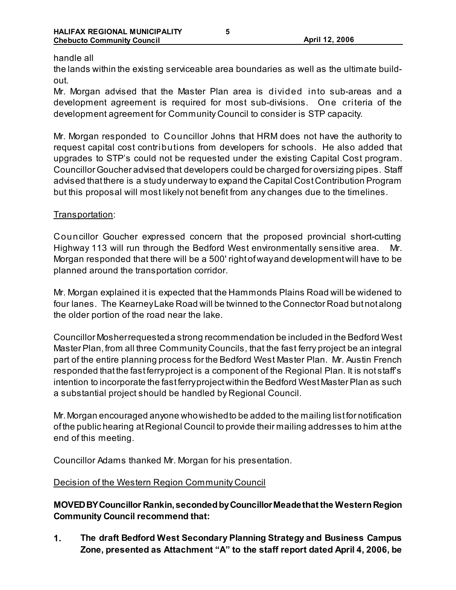#### handle all

the lands within the existing serviceable area boundaries as well as the ultimate buildout.

Mr. Morgan advised that the Master Plan area is divided into sub-areas and a development agreement is required for most sub-divisions. One criteria of the development agreement for Community Council to consider is STP capacity.

Mr. Morgan responded to Councillor Johns that HRM does not have the authority to request capital cost contributions from developers for schools. He also added that upgrades to STP's could not be requested under the existing Capital Cost program. Councillor Goucher advised that developers could be charged for oversizing pipes. Staff advised that there is a study underway to expand the Capital Cost Contribution Program but this proposal will most likely not benefit from any changes due to the timelines.

#### Transportation:

Councillor Goucher expressed concern that the proposed provincial short-cutting Highway 113 will run through the Bedford West environmentally sensitive area. Morgan responded that there will be a 500' right of way and development will have to be planned around the transportation corridor.

Mr. Morgan explained it is expected that the Hammonds Plains Road will be widened to four lanes. The Kearney Lake Road will be twinned to the Connector Road but not along the older portion of the road near the lake.

Councillor Mosher requested a strong recommendation be included in the Bedford West Master Plan, from all three Community Councils, that the fast ferry project be an integral part of the entire planning process for the Bedford West Master Plan. Mr. Austin French responded that the fast ferry project is a component of the Regional Plan. It is not staff's intention to incorporate the fast ferry project within the Bedford West Master Plan as such a substantial project should be handled by Regional Council.

Mr. Morgan encouraged anyone who wished to be added to the mailing list for notification of the public hearing at Regional Council to provide their mailing addresses to him at the end of this meeting.

Councillor Adams thanked Mr. Morgan for his presentation.

#### Decision of the Western Region Community Council

**MOVED BY Councillor Rankin, seconded by Councillor Meade that the Western Region Community Council recommend that:**

**1. The draft Bedford West Secondary Planning Strategy and Business Campus Zone, presented as Attachment "A" to the staff report dated April 4, 2006, be**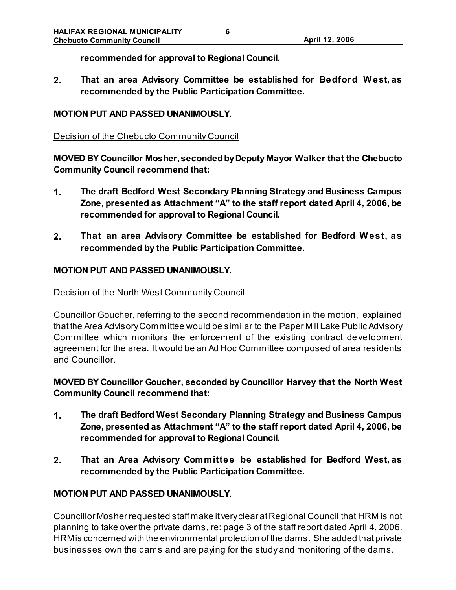**recommended for approval to Regional Council.**

**2. That an area Advisory Committee be established for Bedford W est, as recommended by the Public Participation Committee.**

#### **MOTION PUT AND PASSED UNANIMOUSLY.**

#### Decision of the Chebucto Community Council

**MOVED BY Councillor Mosher, seconded by Deputy Mayor Walker that the Chebucto Community Council recommend that:**

- **1. The draft Bedford West Secondary Planning Strategy and Business Campus Zone, presented as Attachment "A" to the staff report dated April 4, 2006, be recommended for approval to Regional Council.**
- **2. That an area Advisory Committee be established for Bedford W est, as recommended by the Public Participation Committee.**

#### **MOTION PUT AND PASSED UNANIMOUSLY.**

#### Decision of the North West Community Council

Councillor Goucher, referring to the second recommendation in the motion, explained that the Area Advisory Committee would be similar to the Paper Mill Lake Public Advisory Committee which monitors the enforcement of the existing contract development agreement for the area. It would be an Ad Hoc Committee composed of area residents and Councillor.

**MOVED BY Councillor Goucher, seconded by Councillor Harvey that the North West Community Council recommend that:**

- **1. The draft Bedford West Secondary Planning Strategy and Business Campus Zone, presented as Attachment "A" to the staff report dated April 4, 2006, be recommended for approval to Regional Council.**
- **2. That an Area Advisory Committee be established for Bedford West, as recommended by the Public Participation Committee.**

#### **MOTION PUT AND PASSED UNANIMOUSLY.**

Councillor Mosher requested staff make it very clear at Regional Council that HRM is not planning to take over the private dams, re: page 3 of the staff report dated April 4, 2006. HRM is concerned with the environmental protection of the dams. She added that private businesses own the dams and are paying for the study and monitoring of the dams.